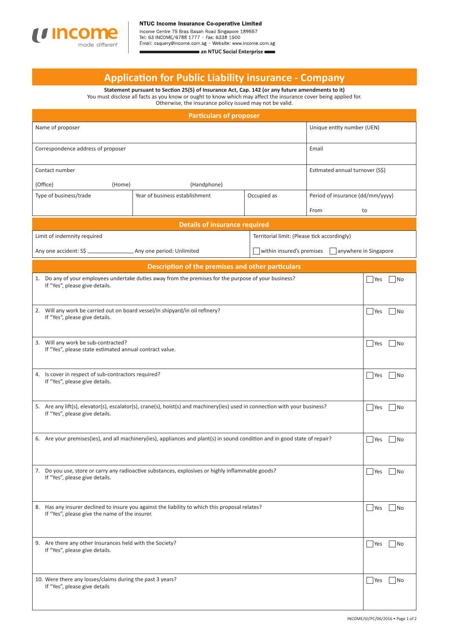

Income Centre 75 Bras Basah Road Singapore 189557<br>Tel: 63 INCOME/6788 1777 · Fax: 6338 1500

Email: csquery@income.com.sg · Website: www.income.com.sg

an NTUC Social Enterprise

## **Applicati on for Public Liability insurance - Company**

**Statement pursuant to Secti on 25(5) of Insurance Act, Cap. 142 (or any future amendments to it)** You must disclose all facts as you know or ought to know which may affect the insurance cover being applied for. Otherwise, the insurance policy issued may not be valid.

| <b>Particulars of proposer</b>                                                                                                                                |                                                   |             |                                  |                       |  |  |
|---------------------------------------------------------------------------------------------------------------------------------------------------------------|---------------------------------------------------|-------------|----------------------------------|-----------------------|--|--|
| Name of proposer                                                                                                                                              |                                                   |             | Unique entity number (UEN)       |                       |  |  |
| Correspondence address of proposer                                                                                                                            |                                                   |             | Email                            |                       |  |  |
| Contact number                                                                                                                                                |                                                   |             | Estimated annual turnover (S\$)  |                       |  |  |
| (Office)<br>(Home)<br>(Handphone)                                                                                                                             |                                                   |             |                                  |                       |  |  |
| Type of business/trade                                                                                                                                        | Year of business establishment                    | Occupied as | Period of insurance (dd/mm/yyyy) |                       |  |  |
|                                                                                                                                                               |                                                   |             | From                             | to                    |  |  |
| <b>Details of insurance required</b>                                                                                                                          |                                                   |             |                                  |                       |  |  |
| Territorial limit: (Please tick accordingly)<br>Limit of indemnity required                                                                                   |                                                   |             |                                  |                       |  |  |
| within insured's premises                                                                                                                                     |                                                   |             |                                  | anywhere in Singapore |  |  |
|                                                                                                                                                               | Description of the premises and other particulars |             |                                  |                       |  |  |
| 1. Do any of your employees undertake duties away from the premises for the purpose of your business?<br>If "Yes", please give details.                       |                                                   |             |                                  |                       |  |  |
| 2. Will any work be carried out on board vessel/in shipyard/in oil refinery?<br>If "Yes", please give details.                                                |                                                   |             |                                  |                       |  |  |
| 3. Will any work be sub-contracted?<br>If "Yes", please state estimated annual contract value.                                                                |                                                   |             |                                  |                       |  |  |
| 4. Is cover in respect of sub-contractors required?<br>If "Yes", please give details.                                                                         |                                                   |             |                                  |                       |  |  |
| 5. Are any lift(s), elevator(s), escalator(s), crane(s), hoist(s) and machinery(ies) used in connection with your business?<br>If "Yes", please give details. |                                                   |             |                                  |                       |  |  |
| 6. Are your premises (ies), and all machinery (ies), appliances and plant (s) in sound condition and in good state of repair?                                 |                                                   |             |                                  |                       |  |  |
| 7. Do you use, store or carry any radioactive substances, explosives or highly inflammable goods?<br>If "Yes", please give details.                           |                                                   |             |                                  |                       |  |  |
| 8. Has any insurer declined to insure you against the liability to which this proposal relates?<br>If "Yes", please give the name of the insurer.             |                                                   |             |                                  |                       |  |  |
| 9. Are there any other Insurances held with the Society?<br>If "Yes", please give details.                                                                    |                                                   |             |                                  |                       |  |  |
| 10. Were there any losses/claims during the past 3 years?<br>If "Yes", please give details                                                                    |                                                   |             |                                  |                       |  |  |
|                                                                                                                                                               |                                                   |             |                                  |                       |  |  |